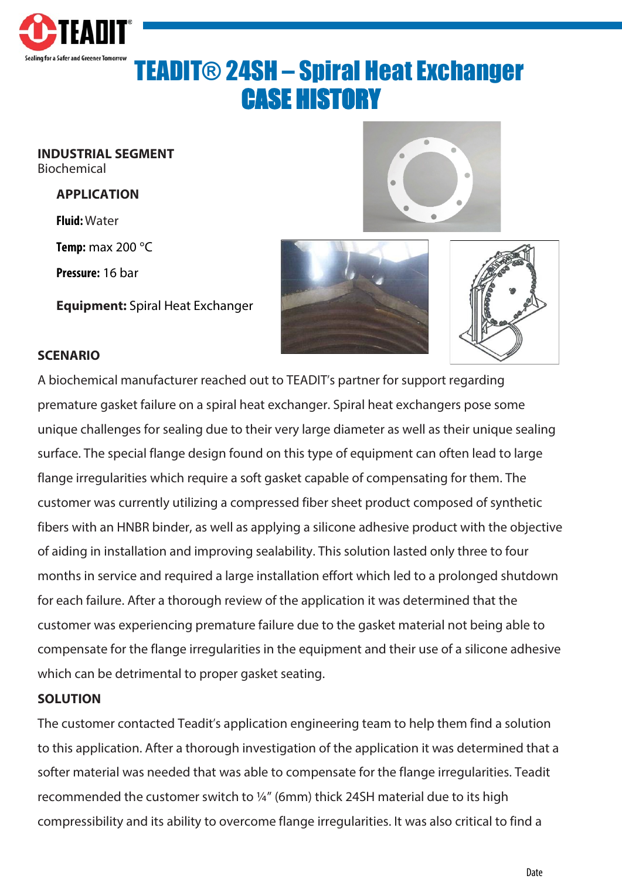

# TEADIT® 24SH – Spiral Heat Exchanger CASE HISTORY

**INDUSTRIAL SEGMENT** Biochemical

#### **APPLICATION**

**Fluid:**Water

**Temp:** max 200 °C

**Pressure:** 16 bar

**Equipment:** Spiral Heat Exchanger







### **SCENARIO**

A biochemical manufacturer reached out to TEADIT's partner for support regarding premature gasket failure on a spiral heat exchanger. Spiral heat exchangers pose some unique challenges for sealing due to their very large diameter as well as their unique sealing surface. The special flange design found on this type of equipment can often lead to large flange irregularities which require a soft gasket capable of compensating for them. The customer was currently utilizing a compressed fiber sheet product composed of synthetic fibers with an HNBR binder, as well as applying a silicone adhesive product with the objective of aiding in installation and improving sealability. This solution lasted only three to four months in service and required a large installation effort which led to a prolonged shutdown for each failure. After a thorough review of the application it was determined that the customer was experiencing premature failure due to the gasket material not being able to compensate for the flange irregularities in the equipment and their use of a silicone adhesive which can be detrimental to proper gasket seating.

#### **SOLUTION**

The customer contacted Teadit's application engineering team to help them find a solution to this application. After a thorough investigation of the application it was determined that a softer material was needed that was able to compensate for the flange irregularities. Teadit recommended the customer switch to ¼" (6mm) thick 24SH material due to its high compressibility and its ability to overcome flange irregularities. It was also critical to find a